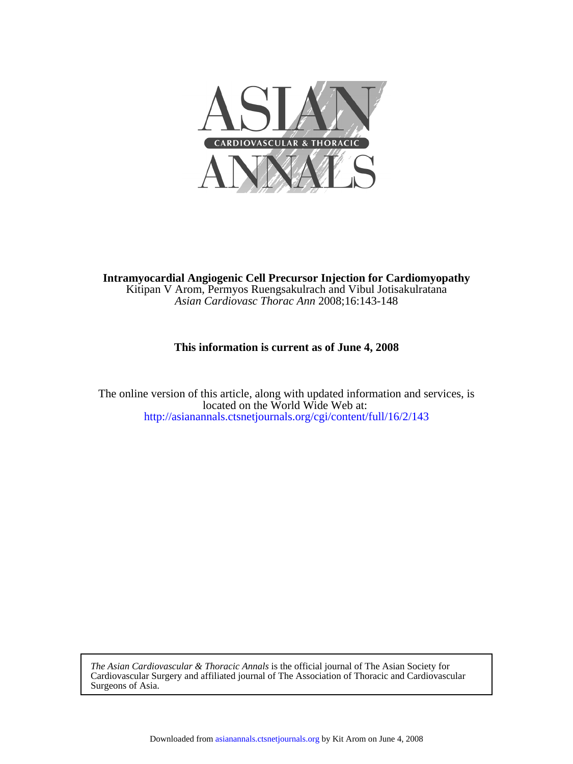

*Asian Cardiovasc Thorac Ann* 2008;16:143-148 Kitipan V Arom, Permyos Ruengsakulrach and Vibul Jotisakulratana **Intramyocardial Angiogenic Cell Precursor Injection for Cardiomyopathy**

# **This information is current as of June 4, 2008**

<http://asianannals.ctsnetjournals.org/cgi/content/full/16/2/143> located on the World Wide Web at: The online version of this article, along with updated information and services, is

Surgeons of Asia. Cardiovascular Surgery and affiliated journal of The Association of Thoracic and Cardiovascular *The Asian Cardiovascular & Thoracic Annals* is the official journal of The Asian Society for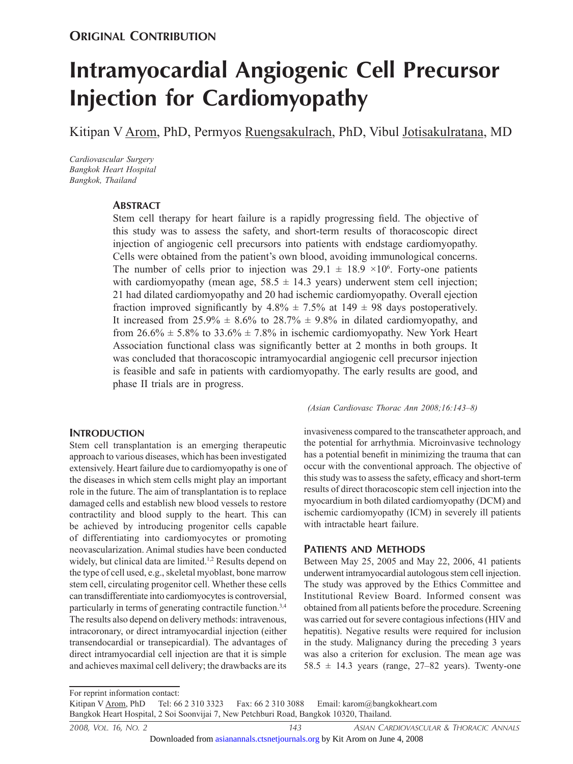# Intramyocardial Angiogenic Cell Precursor Injection for Cardiomyopathy

Kitipan V Arom, PhD, Permyos Ruengsakulrach, PhD, Vibul Jotisakulratana, MD

*Cardiovascular Surgery Bangkok Heart Hospital Bangkok, Thailand*

## **ABSTRACT**

Stem cell therapy for heart failure is a rapidly progressing field. The objective of this study was to assess the safety, and short-term results of thoracoscopic direct injection of angiogenic cell precursors into patients with endstage cardiomyopathy. Cells were obtained from the patient's own blood, avoiding immunological concerns. The number of cells prior to injection was  $29.1 \pm 18.9 \times 10^6$ . Forty-one patients with cardiomyopathy (mean age,  $58.5 \pm 14.3$  years) underwent stem cell injection; 21 had dilated cardiomyopathy and 20 had ischemic cardiomyopathy. Overall ejection fraction improved significantly by  $4.8\% \pm 7.5\%$  at  $149 \pm 98$  days postoperatively. It increased from  $25.9\% \pm 8.6\%$  to  $28.7\% \pm 9.8\%$  in dilated cardiomyopathy, and from 26.6%  $\pm$  5.8% to 33.6%  $\pm$  7.8% in ischemic cardiomyopathy. New York Heart Association functional class was significantly better at 2 months in both groups. It was concluded that thoracoscopic intramyocardial angiogenic cell precursor injection is feasible and safe in patients with cardiomyopathy. The early results are good, and phase II trials are in progress.

## **INTRODUCTION**

Stem cell transplantation is an emerging therapeutic approach to various diseases, which has been investigated extensively. Heart failure due to cardiomyopathy is one of the diseases in which stem cells might play an important role in the future. The aim of transplantation is to replace damaged cells and establish new blood vessels to restore contractility and blood supply to the heart. This can be achieved by introducing progenitor cells capable of differentiating into cardiomyocytes or promoting neovascularization. Animal studies have been conducted widely, but clinical data are limited.<sup>1,2</sup> Results depend on the type of cell used, e.g., skeletal myoblast, bone marrow stem cell, circulating progenitor cell. Whether these cells can transdifferentiate into cardiomyocytes is controversial, particularly in terms of generating contractile function.<sup>3,4</sup> The results also depend on delivery methods: intravenous, intracoronary, or direct intramyocardial injection (either transendocardial or transepicardial). The advantages of direct intramyocardial cell injection are that it is simple and achieves maximal cell delivery; the drawbacks are its

*(Asian Cardiovasc Thorac Ann 2008;16:143–8)*

invasiveness compared to the transcatheter approach, and the potential for arrhythmia. Microinvasive technology has a potential benefit in minimizing the trauma that can occur with the conventional approach. The objective of this study was to assess the safety, efficacy and short-term results of direct thoracoscopic stem cell injection into the myocardium in both dilated cardiomyopathy (DCM) and ischemic cardiomyopathy (ICM) in severely ill patients with intractable heart failure.

## PATIENTS AND METHODS

Between May 25, 2005 and May 22, 2006, 41 patients underwent intramyocardial autologous stem cell injection. The study was approved by the Ethics Committee and Institutional Review Board. Informed consent was obtained from all patients before the procedure. Screening was carried out for severe contagious infections (HIV and hepatitis). Negative results were required for inclusion in the study. Malignancy during the preceding 3 years was also a criterion for exclusion. The mean age was  $58.5 \pm 14.3$  years (range, 27–82 years). Twenty-one

Kitipan V Arom, PhD Tel: 66 2 310 3323 Fax: 66 2 310 3088 Email: karom@bangkokheart.com Bangkok Heart Hospital, 2 Soi Soonvijai 7, New Petchburi Road, Bangkok 10320, Thailand.

For reprint information contact: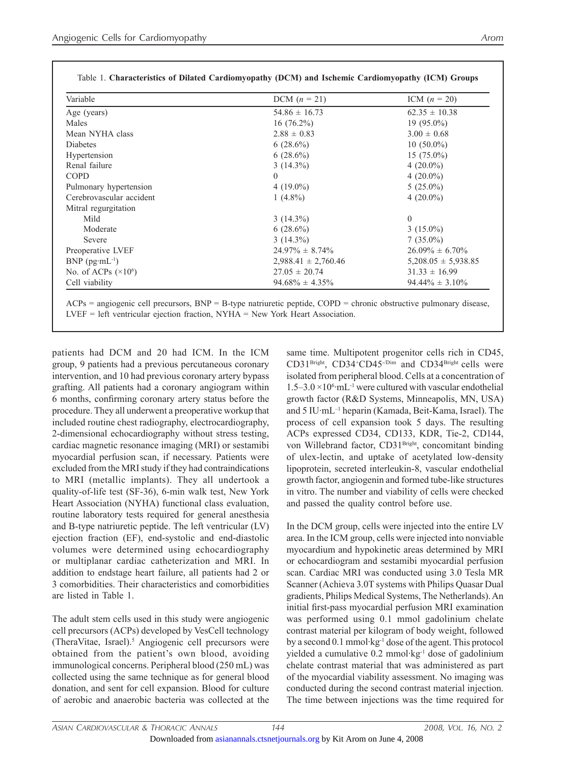| Variable                    | DCM $(n = 21)$          | ICM $(n = 20)$          |  |
|-----------------------------|-------------------------|-------------------------|--|
|                             |                         |                         |  |
| Age (years)                 | $54.86 \pm 16.73$       | $62.35 \pm 10.38$       |  |
| Males                       | $16(76.2\%)$            | $19(95.0\%)$            |  |
| Mean NYHA class             | $2.88 \pm 0.83$         | $3.00 \pm 0.68$         |  |
| Diabetes                    | $6(28.6\%)$             | $10(50.0\%)$            |  |
| Hypertension                | $6(28.6\%)$             | $15(75.0\%)$            |  |
| Renal failure               | $3(14.3\%)$             | 4 $(20.0\%)$            |  |
| <b>COPD</b>                 | $\left($                | $4(20.0\%)$             |  |
| Pulmonary hypertension      | $4(19.0\%)$             | $5(25.0\%)$             |  |
| Cerebrovascular accident    | $1(4.8\%)$              | $4(20.0\%)$             |  |
| Mitral regurgitation        |                         |                         |  |
| Mild                        | $3(14.3\%)$             | $\theta$                |  |
| Moderate                    | $6(28.6\%)$             | $3(15.0\%)$             |  |
| Severe                      | $3(14.3\%)$             | $7(35.0\%)$             |  |
| Preoperative LVEF           | $24.97\% \pm 8.74\%$    | $26.09\% \pm 6.70\%$    |  |
| BNP $(pg·mL^{-1})$          | $2,988.41 \pm 2,760.46$ | $5,208.05 \pm 5,938.85$ |  |
| No. of ACPs $(\times 10^6)$ | $27.05 \pm 20.74$       | $31.33 \pm 16.99$       |  |
| Cell viability              | $94.68\% \pm 4.35\%$    | $94.44\% \pm 3.10\%$    |  |

|  | Table 1. Characteristics of Dilated Cardiomyopathy (DCM) and Ischemic Cardiomyopathy (ICM) Groups |  |  |  |
|--|---------------------------------------------------------------------------------------------------|--|--|--|
|  |                                                                                                   |  |  |  |

igiogenic cell precursors,  $BNP = B$ -type natriuretic peptide,  $COPD =$  chronic obstructive pulmonary dis LVEF = left ventricular ejection fraction, NYHA = New York Heart Association.

patients had DCM and 20 had ICM. In the ICM group, 9 patients had a previous percutaneous coronary intervention, and 10 had previous coronary artery bypass grafting. All patients had a coronary angiogram within 6 months, confirming coronary artery status before the procedure. They all underwent a preoperative workup that included routine chest radiography, electrocardiography, 2-dimensional echocardiography without stress testing, cardiac magnetic resonance imaging (MRI) or sestamibi myocardial perfusion scan, if necessary. Patients were excluded from the MRI study if they had contraindications to MRI (metallic implants). They all undertook a quality-of-life test (SF-36), 6-min walk test, New York Heart Association (NYHA) functional class evaluation, routine laboratory tests required for general anesthesia and B-type natriuretic peptide. The left ventricular (LV) ejection fraction (EF), end-systolic and end-diastolic volumes were determined using echocardiography or multiplanar cardiac catheterization and MRI. In addition to endstage heart failure, all patients had 2 or 3 comorbidities. Their characteristics and comorbidities are listed in Table 1.

The adult stem cells used in this study were angiogenic cell precursors (ACPs) developed by VesCell technology (TheraVitae, Israel).5 Angiogenic cell precursors were obtained from the patient's own blood, avoiding immunological concerns. Peripheral blood (250 mL) was collected using the same technique as for general blood donation, and sent for cell expansion. Blood for culture of aerobic and anaerobic bacteria was collected at the

same time. Multipotent progenitor cells rich in CD45, CD31Bright, CD34+CD45-/Dim and CD34Bright cells were isolated from peripheral blood. Cells at a concentration of  $1.5-3.0 \times 10^{6}$  mL<sup>-1</sup> were cultured with vascular endothelial growth factor (R&D Systems, Minneapolis, MN, USA) and 5 IU·mL–1 heparin (Kamada, Beit-Kama, Israel). The process of cell expansion took 5 days. The resulting ACPs expressed CD34, CD133, KDR, Tie-2, CD144, von Willebrand factor, CD31<sup>Bright</sup>, concomitant binding of ulex-lectin, and uptake of acetylated low-density lipoprotein, secreted interleukin-8, vascular endothelial growth factor, angiogenin and formed tube-like structures in vitro. The number and viability of cells were checked and passed the quality control before use.

In the DCM group, cells were injected into the entire LV area. In the ICM group, cells were injected into nonviable myocardium and hypokinetic areas determined by MRI or echocardiogram and sestamibi myocardial perfusion scan. Cardiac MRI was conducted using 3.0 Tesla MR Scanner (Achieva 3.0T systems with Philips Quasar Dual gradients, Philips Medical Systems, The Netherlands). An initial first-pass myocardial perfusion MRI examination was performed using 0.1 mmol gadolinium chelate contrast material per kilogram of body weight, followed by a second 0.1 mmol·kg-1 dose of the agent. This protocol yielded a cumulative  $0.2 \text{ mmol·kg}$ <sup>1</sup> dose of gadolinium chelate contrast material that was administered as part of the myocardial viability assessment. No imaging was conducted during the second contrast material injection. The time between injections was the time required for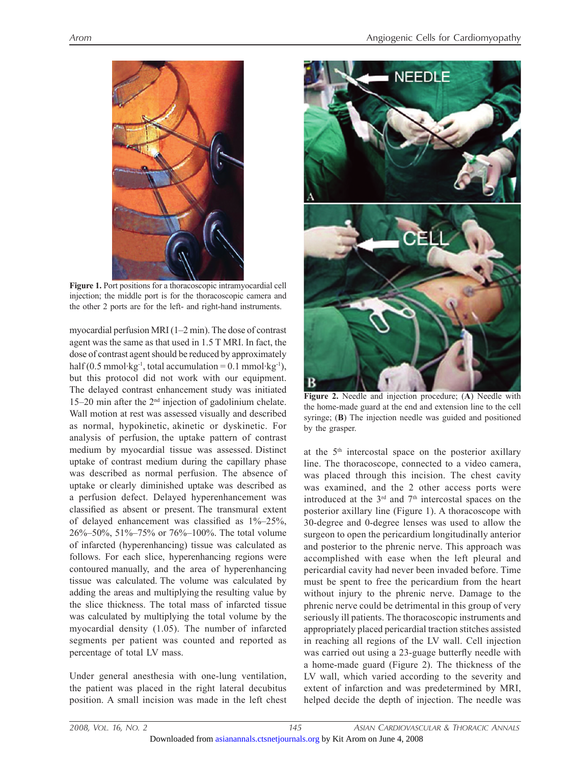

**Figure 1.** Port positions for a thoracoscopic intramyocardial cell injection; the middle port is for the thoracoscopic camera and the other 2 ports are for the left- and right-hand instruments.

myocardial perfusion MRI (1–2 min). The dose of contrast agent was the same as that used in 1.5 T MRI. In fact, the dose of contrast agent should be reduced by approximately half (0.5 mmol·kg<sup>-1</sup>, total accumulation = 0.1 mmol·kg<sup>-1</sup>), but this protocol did not work with our equipment. The delayed contrast enhancement study was initiated 15–20 min after the 2nd injection of gadolinium chelate. Wall motion at rest was assessed visually and described as normal, hypokinetic, akinetic or dyskinetic. For analysis of perfusion, the uptake pattern of contrast medium by myocardial tissue was assessed. Distinct uptake of contrast medium during the capillary phase was described as normal perfusion. The absence of uptake or clearly diminished uptake was described as a perfusion defect. Delayed hyperenhancement was classified as absent or present. The transmural extent of delayed enhancement was classified as  $1\% - 25\%$ , 26%–50%, 51%–75% or 76%–100%. The total volume of infarcted (hyperenhancing) tissue was calculated as follows. For each slice, hyperenhancing regions were contoured manually, and the area of hyperenhancing tissue was calculated. The volume was calculated by adding the areas and multiplying the resulting value by the slice thickness. The total mass of infarcted tissue was calculated by multiplying the total volume by the myocardial density (1.05). The number of infarcted segments per patient was counted and reported as percentage of total LV mass.

Under general anesthesia with one-lung ventilation, the patient was placed in the right lateral decubitus position. A small incision was made in the left chest



**Figure 2.** Needle and injection procedure; (**A**) Needle with the home-made guard at the end and extension line to the cell syringe; (**B**) The injection needle was guided and positioned by the grasper.

at the  $5<sup>th</sup>$  intercostal space on the posterior axillary line. The thoracoscope, connected to a video camera, was placed through this incision. The chest cavity was examined, and the 2 other access ports were introduced at the  $3<sup>rd</sup>$  and  $7<sup>th</sup>$  intercostal spaces on the posterior axillary line (Figure 1). A thoracoscope with 30-degree and 0-degree lenses was used to allow the surgeon to open the pericardium longitudinally anterior and posterior to the phrenic nerve. This approach was accomplished with ease when the left pleural and pericardial cavity had never been invaded before. Time must be spent to free the pericardium from the heart without injury to the phrenic nerve. Damage to the phrenic nerve could be detrimental in this group of very seriously ill patients. The thoracoscopic instruments and appropriately placed pericardial traction stitches assisted in reaching all regions of the LV wall. Cell injection was carried out using a 23-guage butterfly needle with a home-made guard (Figure 2). The thickness of the LV wall, which varied according to the severity and extent of infarction and was predetermined by MRI, helped decide the depth of injection. The needle was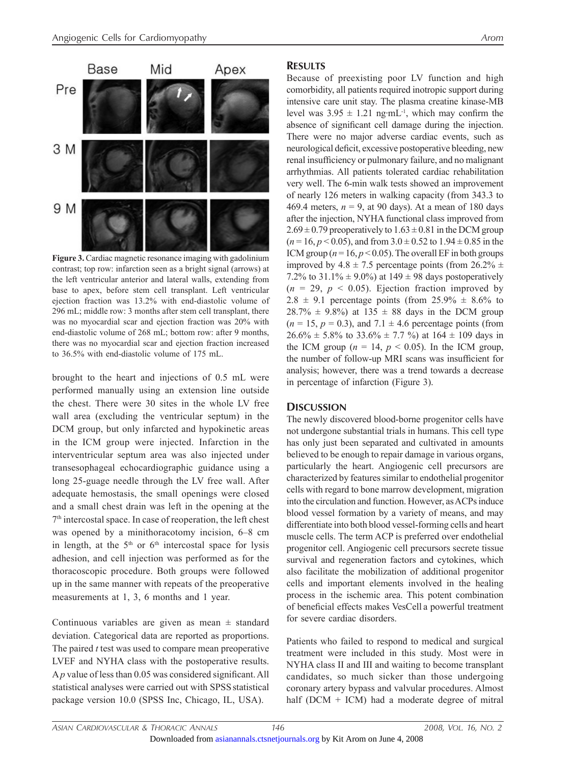

**Figure 3.** Cardiac magnetic resonance imaging with gadolinium contrast; top row: infarction seen as a bright signal (arrows) at the left ventricular anterior and lateral walls, extending from base to apex, before stem cell transplant. Left ventricular ejection fraction was 13.2% with end-diastolic volume of 296 mL; middle row: 3 months after stem cell transplant, there was no myocardial scar and ejection fraction was 20% with end-diastolic volume of 268 mL; bottom row: after 9 months, there was no myocardial scar and ejection fraction increased to 36.5% with end-diastolic volume of 175 mL.

brought to the heart and injections of 0.5 mL were performed manually using an extension line outside the chest. There were 30 sites in the whole LV free wall area (excluding the ventricular septum) in the DCM group, but only infarcted and hypokinetic areas in the ICM group were injected. Infarction in the interventricular septum area was also injected under transesophageal echocardiographic guidance using a long 25-guage needle through the LV free wall. After adequate hemostasis, the small openings were closed and a small chest drain was left in the opening at the  $7<sup>th</sup>$  intercostal space. In case of reoperation, the left chest was opened by a minithoracotomy incision, 6–8 cm in length, at the  $5<sup>th</sup>$  or  $6<sup>th</sup>$  intercostal space for lysis adhesion, and cell injection was performed as for the thoracoscopic procedure. Both groups were followed up in the same manner with repeats of the preoperative measurements at 1, 3, 6 months and 1 year.

Continuous variables are given as mean  $\pm$  standard deviation. Categorical data are reported as proportions. The paired *t* test was used to compare mean preoperative LVEF and NYHA class with the postoperative results. A *p* value of less than 0.05 was considered significant. All statistical analyses were carried out with SPSS statistical package version 10.0 (SPSS Inc, Chicago, IL, USA).

#### RESULTS

Because of preexisting poor LV function and high comorbidity, all patients required inotropic support during intensive care unit stay. The plasma creatine kinase-MB level was  $3.95 \pm 1.21$  ng·mL<sup>-1</sup>, which may confirm the absence of significant cell damage during the injection. There were no major adverse cardiac events, such as neurological deficit, excessive postoperative bleeding, new renal insufficiency or pulmonary failure, and no malignant arrhythmias. All patients tolerated cardiac rehabilitation very well. The 6-min walk tests showed an improvement of nearly 126 meters in walking capacity (from 343.3 to 469.4 meters,  $n = 9$ , at 90 days). At a mean of 180 days after the injection, NYHA functional class improved from  $2.69 \pm 0.79$  preoperatively to  $1.63 \pm 0.81$  in the DCM group  $(n=16, p<0.05)$ , and from  $3.0 \pm 0.52$  to  $1.94 \pm 0.85$  in the ICM group ( $n = 16$ ,  $p < 0.05$ ). The overall EF in both groups improved by  $4.8 \pm 7.5$  percentage points (from 26.2%  $\pm$ 7.2% to 31.1%  $\pm$  9.0%) at 149  $\pm$  98 days postoperatively  $(n = 29, p < 0.05)$ . Ejection fraction improved by  $2.8 \pm 9.1$  percentage points (from  $25.9\% \pm 8.6\%$  to  $28.7\% \pm 9.8\%$ ) at  $135 \pm 88$  days in the DCM group  $(n = 15, p = 0.3)$ , and  $7.1 \pm 4.6$  percentage points (from  $26.6\% \pm 5.8\%$  to  $33.6\% \pm 7.7\%$  at  $164 \pm 109$  days in the ICM group ( $n = 14$ ,  $p < 0.05$ ). In the ICM group, the number of follow-up MRI scans was insufficient for analysis; however, there was a trend towards a decrease in percentage of infarction (Figure 3).

## **DISCUSSION**

The newly discovered blood-borne progenitor cells have not undergone substantial trials in humans. This cell type has only just been separated and cultivated in amounts believed to be enough to repair damage in various organs, particularly the heart. Angiogenic cell precursors are characterized by features similar to endothelial progenitor cells with regard to bone marrow development, migration into the circulation and function. However, as ACPs induce blood vessel formation by a variety of means, and may differentiate into both blood vessel-forming cells and heart muscle cells. The term ACP is preferred over endothelial progenitor cell. Angiogenic cell precursors secrete tissue survival and regeneration factors and cytokines, which also facilitate the mobilization of additional progenitor cells and important elements involved in the healing process in the ischemic area. This potent combination of beneficial effects makes VesCell a powerful treatment for severe cardiac disorders.

Patients who failed to respond to medical and surgical treatment were included in this study. Most were in NYHA class II and III and waiting to become transplant candidates, so much sicker than those undergoing coronary artery bypass and valvular procedures. Almost half (DCM + ICM) had a moderate degree of mitral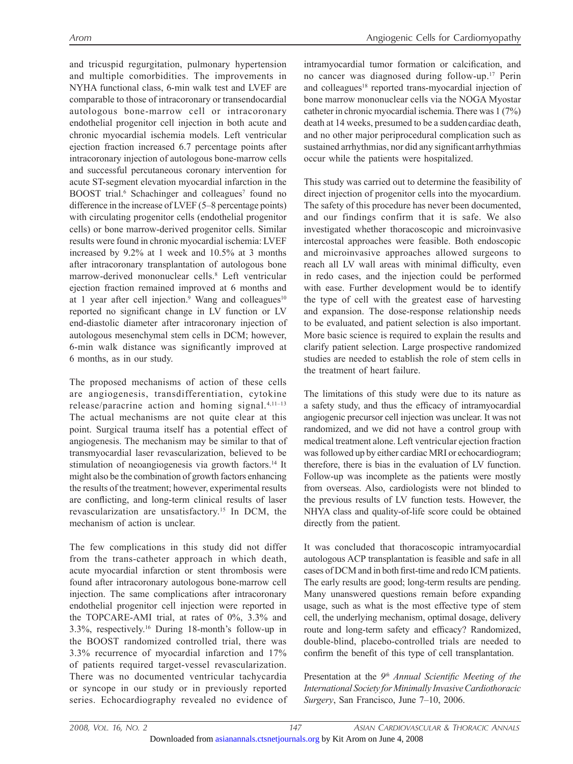and tricuspid regurgitation, pulmonary hypertension and multiple comorbidities. The improvements in NYHA functional class, 6-min walk test and LVEF are comparable to those of intracoronary or transendocardial autologous bone-marrow cell or intracoronary endothelial progenitor cell injection in both acute and chronic myocardial ischemia models. Left ventricular ejection fraction increased 6.7 percentage points after intracoronary injection of autologous bone-marrow cells and successful percutaneous coronary intervention for acute ST-segment elevation myocardial infarction in the BOOST trial.<sup>6</sup> Schachinger and colleagues<sup>7</sup> found no difference in the increase of LVEF (5–8 percentage points) with circulating progenitor cells (endothelial progenitor cells) or bone marrow-derived progenitor cells. Similar results were found in chronic myocardial ischemia: LVEF increased by 9.2% at 1 week and 10.5% at 3 months after intracoronary transplantation of autologous bone marrow-derived mononuclear cells.<sup>8</sup> Left ventricular ejection fraction remained improved at 6 months and at 1 year after cell injection.<sup>9</sup> Wang and colleagues<sup>10</sup> reported no significant change in LV function or LV end-diastolic diameter after intracoronary injection of autologous mesenchymal stem cells in DCM; however, 6-min walk distance was significantly improved at 6 months, as in our study.

The proposed mechanisms of action of these cells are angiogenesis, transdifferentiation, cytokine release/paracrine action and homing signal. $4,11-13$ The actual mechanisms are not quite clear at this point. Surgical trauma itself has a potential effect of angiogenesis. The mechanism may be similar to that of transmyocardial laser revascularization, believed to be stimulation of neoangiogenesis via growth factors.<sup>14</sup> It might also be the combination of growth factors enhancing the results of the treatment; however, experimental results are conflicting, and long-term clinical results of laser revascularization are unsatisfactory.15 In DCM, the mechanism of action is unclear.

The few complications in this study did not differ from the trans-catheter approach in which death, acute myocardial infarction or stent thrombosis were found after intracoronary autologous bone-marrow cell injection. The same complications after intracoronary endothelial progenitor cell injection were reported in the TOPCARE-AMI trial, at rates of 0%, 3.3% and 3.3%, respectively.16 During 18-month's follow-up in the BOOST randomized controlled trial, there was 3.3% recurrence of myocardial infarction and 17% of patients required target-vessel revascularization. There was no documented ventricular tachycardia or syncope in our study or in previously reported series. Echocardiography revealed no evidence of intramyocardial tumor formation or calcification, and no cancer was diagnosed during follow-up.17 Perin and colleagues<sup>18</sup> reported trans-myocardial injection of bone marrow mononuclear cells via the NOGA Myostar catheter in chronic myocardial ischemia. There was 1 (7%) death at 14 weeks, presumed to be a sudden cardiac death, and no other major periprocedural complication such as sustained arrhythmias, nor did any significant arrhythmias occur while the patients were hospitalized.

This study was carried out to determine the feasibility of direct injection of progenitor cells into the myocardium. The safety of this procedure has never been documented, and our findings confirm that it is safe. We also investigated whether thoracoscopic and microinvasive intercostal approaches were feasible. Both endoscopic and microinvasive approaches allowed surgeons to reach all LV wall areas with minimal difficulty, even in redo cases, and the injection could be performed with ease. Further development would be to identify the type of cell with the greatest ease of harvesting and expansion. The dose-response relationship needs to be evaluated, and patient selection is also important. More basic science is required to explain the results and clarify patient selection. Large prospective randomized studies are needed to establish the role of stem cells in the treatment of heart failure.

The limitations of this study were due to its nature as a safety study, and thus the efficacy of intramyocardial angiogenic precursor cell injection was unclear. It was not randomized, and we did not have a control group with medical treatment alone. Left ventricular ejection fraction was followed up by either cardiac MRI or echocardiogram; therefore, there is bias in the evaluation of LV function. Follow-up was incomplete as the patients were mostly from overseas. Also, cardiologists were not blinded to the previous results of LV function tests. However, the NHYA class and quality-of-life score could be obtained directly from the patient.

It was concluded that thoracoscopic intramyocardial autologous ACP transplantation is feasible and safe in all cases of DCM and in both first-time and redo ICM patients. The early results are good; long-term results are pending. Many unanswered questions remain before expanding usage, such as what is the most effective type of stem cell, the underlying mechanism, optimal dosage, delivery route and long-term safety and efficacy? Randomized, double-blind, placebo-controlled trials are needed to confirm the benefit of this type of cell transplantation.

Presentation at the <sup>9th</sup> Annual Scientific Meeting of the *International Society for Minimally Invasive Cardiothoracic Surgery*, San Francisco, June 7–10, 2006.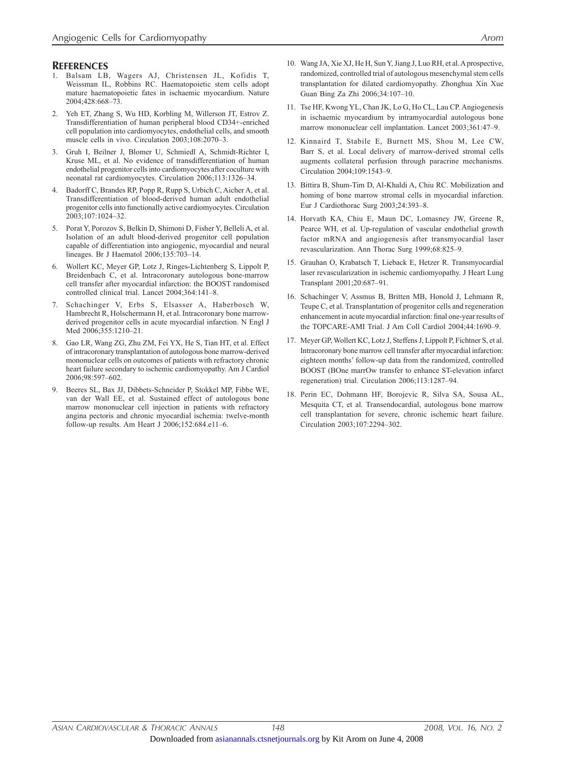#### REFERENCES

- 1. Balsam LB, Wagers AJ, Christensen JL, Kofidis T, Weissman IL, Robbins RC. Haematopoietic stem cells adopt mature haematopoietic fates in ischaemic myocardium. Nature 2004;428:668–73.
- 2. Yeh ET, Zhang S, Wu HD, Korbling M, Willerson JT, Estrov Z. Transdifferentiation of human peripheral blood CD34+-enriched cell population into cardiomyocytes, endothelial cells, and smooth muscle cells in vivo. Circulation 2003;108:2070–3.
- 3. Gruh I, Beilner J, Blomer U, Schmiedl A, Schmidt-Richter I, Kruse ML, et al. No evidence of transdifferentiation of human endothelial progenitor cells into cardiomyocytes after coculture with neonatal rat cardiomyocytes. Circulation 2006;113:1326–34.
- Badorff C, Brandes RP, Popp R, Rupp S, Urbich C, Aicher A, et al. Transdifferentiation of blood-derived human adult endothelial progenitor cells into functionally active cardiomyocytes. Circulation 2003;107:1024–32.
- 5. Porat Y, Porozov S, Belkin D, Shimoni D, Fisher Y, Belleli A, et al. Isolation of an adult blood-derived progenitor cell population capable of differentiation into angiogenic, myocardial and neural lineages. Br J Haematol 2006;135:703–14.
- 6. Wollert KC, Meyer GP, Lotz J, Ringes-Lichtenberg S, Lippolt P, Breidenbach C, et al. Intracoronary autologous bone-marrow cell transfer after myocardial infarction: the BOOST randomised controlled clinical trial. Lancet 2004;364:141–8.
- Schachinger V, Erbs S, Elsasser A, Haberbosch W, Hambrecht R, Holschermann H, et al. Intracoronary bone marrowderived progenitor cells in acute myocardial infarction. N Engl J Med 2006;355:1210–21.
- 8. Gao LR, Wang ZG, Zhu ZM, Fei YX, He S, Tian HT, et al. Effect of intracoronary transplantation of autologous bone marrow-derived mononuclear cells on outcomes of patients with refractory chronic heart failure secondary to ischemic cardiomyopathy. Am J Cardiol 2006;98:597–602.
- 9. Beeres SL, Bax JJ, Dibbets-Schneider P, Stokkel MP, Fibbe WE, van der Wall EE, et al. Sustained effect of autologous bone marrow mononuclear cell injection in patients with refractory angina pectoris and chronic myocardial ischemia: twelve-month follow-up results. Am Heart J 2006;152:684.e11–6.
- 10. Wang JA, Xie XJ, He H, Sun Y, Jiang J, Luo RH, et al. A prospective, randomized, controlled trial of autologous mesenchymal stem cells transplantation for dilated cardiomyopathy. Zhonghua Xin Xue Guan Bing Za Zhi 2006;34:107–10.
- 11. Tse HF, Kwong YL, Chan JK, Lo G, Ho CL, Lau CP. Angiogenesis in ischaemic myocardium by intramyocardial autologous bone marrow mononuclear cell implantation. Lancet 2003;361:47–9.
- 12. Kinnaird T, Stabile E, Burnett MS, Shou M, Lee CW, Barr S, et al. Local delivery of marrow-derived stromal cells augments collateral perfusion through paracrine mechanisms. Circulation 2004;109:1543–9.
- 13. Bittira B, Shum-Tim D, Al-Khaldi A, Chiu RC. Mobilization and homing of bone marrow stromal cells in myocardial infarction. Eur J Cardiothorac Surg 2003;24:393–8.
- 14. Horvath KA, Chiu E, Maun DC, Lomasney JW, Greene R, Pearce WH, et al. Up-regulation of vascular endothelial growth factor mRNA and angiogenesis after transmyocardial laser revascularization. Ann Thorac Surg 1999;68:825–9.
- 15. Grauhan O, Krabatsch T, Lieback E, Hetzer R. Transmyocardial laser revascularization in ischemic cardiomyopathy. J Heart Lung Transplant 2001;20:687–91.
- 16. Schachinger V, Assmus B, Britten MB, Honold J, Lehmann R, Teupe C, et al. Transplantation of progenitor cells and regeneration enhancement in acute myocardial infarction: final one-year results of the TOPCARE-AMI Trial. J Am Coll Cardiol 2004;44:1690–9.
- 17. Meyer GP, Wollert KC, Lotz J, Steffens J, Lippolt P, Fichtner S, et al. Intracoronary bone marrow cell transfer after myocardial infarction: eighteen months' follow-up data from the randomized, controlled BOOST (BOne marrOw transfer to enhance ST-elevation infarct regeneration) trial. Circulation 2006;113:1287–94.
- 18. Perin EC, Dohmann HF, Borojevic R, Silva SA, Sousa AL, Mesquita CT, et al. Transendocardial, autologous bone marrow cell transplantation for severe, chronic ischemic heart failure. Circulation 2003;107:2294–302.